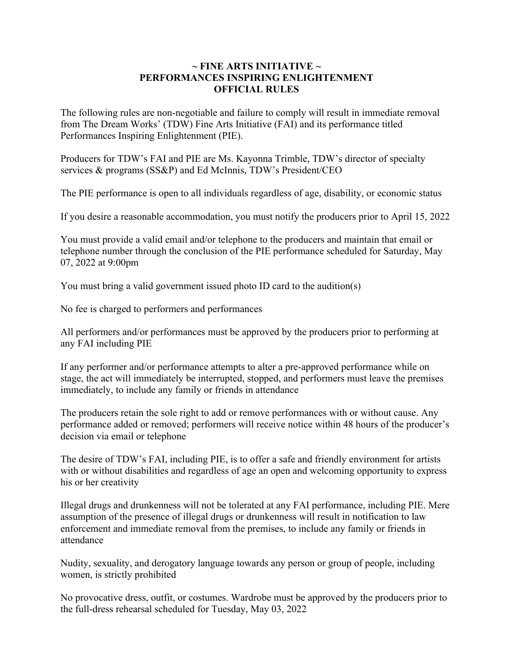## $\sim$  FINE ARTS INITIATIVE  $\sim$ **PERFORMANCES INSPIRING ENLIGHTENMENT OFFICIAL RULES**

The following rules are non-negotiable and failure to comply will result in immediate removal from The Dream Works' (TDW) Fine Arts Initiative (FAI) and its performance titled Performances Inspiring Enlightenment (PIE).

Producers for TDW's FAI and PIE are Ms. Kayonna Trimble, TDW's director of specialty services & programs (SS&P) and Ed McInnis, TDW's President/CEO

The PIE performance is open to all individuals regardless of age, disability, or economic status

If you desire a reasonable accommodation, you must notify the producers prior to April 15, 2022

You must provide a valid email and/or telephone to the producers and maintain that email or telephone number through the conclusion of the PIE performance scheduled for Saturday, May 07, 2022 at 9:00pm

You must bring a valid government issued photo ID card to the audition(s)

No fee is charged to performers and performances

All performers and/or performances must be approved by the producers prior to performing at any FAI including PIE

If any performer and/or performance attempts to alter a pre-approved performance while on stage, the act will immediately be interrupted, stopped, and performers must leave the premises immediately, to include any family or friends in attendance

The producers retain the sole right to add or remove performances with or without cause. Any performance added or removed; performers will receive notice within 48 hours of the producer's decision via email or telephone

The desire of TDW's FAI, including PIE, is to offer a safe and friendly environment for artists with or without disabilities and regardless of age an open and welcoming opportunity to express his or her creativity

Illegal drugs and drunkenness will not be tolerated at any FAI performance, including PIE. Mere assumption of the presence of illegal drugs or drunkenness will result in notification to law enforcement and immediate removal from the premises, to include any family or friends in attendance

Nudity, sexuality, and derogatory language towards any person or group of people, including women, is strictly prohibited

No provocative dress, outfit, or costumes. Wardrobe must be approved by the producers prior to the full-dress rehearsal scheduled for Tuesday, May 03, 2022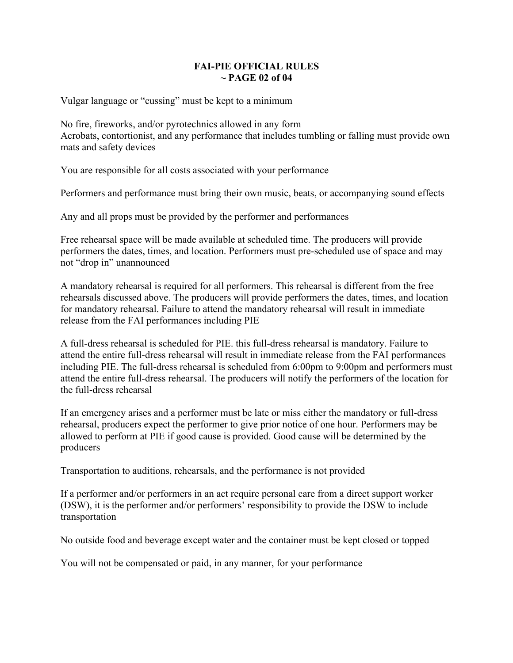## **FAI-PIE OFFICIAL RULES ~ PAGE 02 of 04**

Vulgar language or "cussing" must be kept to a minimum

No fire, fireworks, and/or pyrotechnics allowed in any form Acrobats, contortionist, and any performance that includes tumbling or falling must provide own mats and safety devices

You are responsible for all costs associated with your performance

Performers and performance must bring their own music, beats, or accompanying sound effects

Any and all props must be provided by the performer and performances

Free rehearsal space will be made available at scheduled time. The producers will provide performers the dates, times, and location. Performers must pre-scheduled use of space and may not "drop in" unannounced

A mandatory rehearsal is required for all performers. This rehearsal is different from the free rehearsals discussed above. The producers will provide performers the dates, times, and location for mandatory rehearsal. Failure to attend the mandatory rehearsal will result in immediate release from the FAI performances including PIE

A full-dress rehearsal is scheduled for PIE. this full-dress rehearsal is mandatory. Failure to attend the entire full-dress rehearsal will result in immediate release from the FAI performances including PIE. The full-dress rehearsal is scheduled from 6:00pm to 9:00pm and performers must attend the entire full-dress rehearsal. The producers will notify the performers of the location for the full-dress rehearsal

If an emergency arises and a performer must be late or miss either the mandatory or full-dress rehearsal, producers expect the performer to give prior notice of one hour. Performers may be allowed to perform at PIE if good cause is provided. Good cause will be determined by the producers

Transportation to auditions, rehearsals, and the performance is not provided

If a performer and/or performers in an act require personal care from a direct support worker (DSW), it is the performer and/or performers' responsibility to provide the DSW to include transportation

No outside food and beverage except water and the container must be kept closed or topped

You will not be compensated or paid, in any manner, for your performance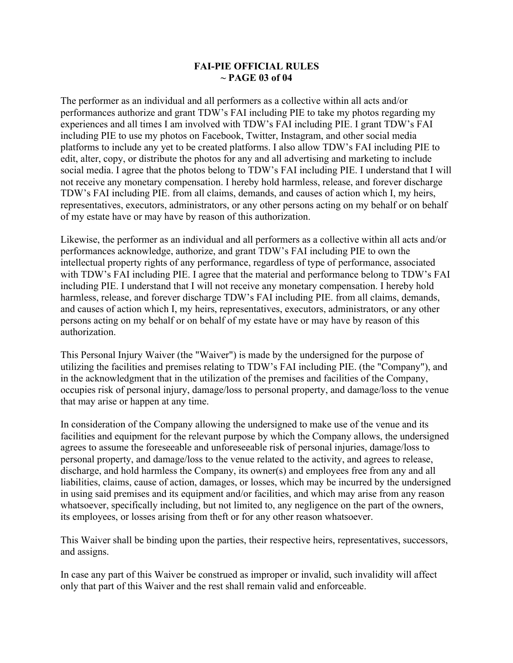## **FAI-PIE OFFICIAL RULES ~ PAGE 03 of 04**

The performer as an individual and all performers as a collective within all acts and/or performances authorize and grant TDW's FAI including PIE to take my photos regarding my experiences and all times I am involved with TDW's FAI including PIE. I grant TDW's FAI including PIE to use my photos on Facebook, Twitter, Instagram, and other social media platforms to include any yet to be created platforms. I also allow TDW's FAI including PIE to edit, alter, copy, or distribute the photos for any and all advertising and marketing to include social media. I agree that the photos belong to TDW's FAI including PIE. I understand that I will not receive any monetary compensation. I hereby hold harmless, release, and forever discharge TDW's FAI including PIE. from all claims, demands, and causes of action which I, my heirs, representatives, executors, administrators, or any other persons acting on my behalf or on behalf of my estate have or may have by reason of this authorization.

Likewise, the performer as an individual and all performers as a collective within all acts and/or performances acknowledge, authorize, and grant TDW's FAI including PIE to own the intellectual property rights of any performance, regardless of type of performance, associated with TDW's FAI including PIE. I agree that the material and performance belong to TDW's FAI including PIE. I understand that I will not receive any monetary compensation. I hereby hold harmless, release, and forever discharge TDW's FAI including PIE. from all claims, demands, and causes of action which I, my heirs, representatives, executors, administrators, or any other persons acting on my behalf or on behalf of my estate have or may have by reason of this authorization.

This Personal Injury Waiver (the "Waiver") is made by the undersigned for the purpose of utilizing the facilities and premises relating to TDW's FAI including PIE. (the "Company"), and in the acknowledgment that in the utilization of the premises and facilities of the Company, occupies risk of personal injury, damage/loss to personal property, and damage/loss to the venue that may arise or happen at any time.

In consideration of the Company allowing the undersigned to make use of the venue and its facilities and equipment for the relevant purpose by which the Company allows, the undersigned agrees to assume the foreseeable and unforeseeable risk of personal injuries, damage/loss to personal property, and damage/loss to the venue related to the activity, and agrees to release, discharge, and hold harmless the Company, its owner(s) and employees free from any and all liabilities, claims, cause of action, damages, or losses, which may be incurred by the undersigned in using said premises and its equipment and/or facilities, and which may arise from any reason whatsoever, specifically including, but not limited to, any negligence on the part of the owners, its employees, or losses arising from theft or for any other reason whatsoever.

This Waiver shall be binding upon the parties, their respective heirs, representatives, successors, and assigns.

In case any part of this Waiver be construed as improper or invalid, such invalidity will affect only that part of this Waiver and the rest shall remain valid and enforceable.